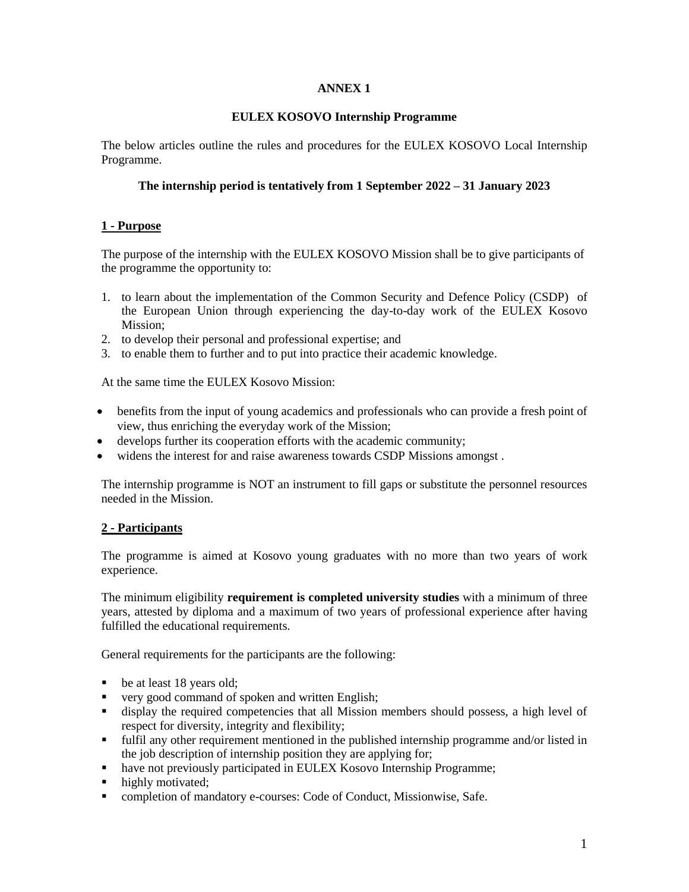# **ANNEX 1**

## **EULEX KOSOVO Internship Programme**

The below articles outline the rules and procedures for the EULEX KOSOVO Local Internship Programme.

## **The internship period is tentatively from 1 September 2022 – 31 January 2023**

## **1 - Purpose**

The purpose of the internship with the EULEX KOSOVO Mission shall be to give participants of the programme the opportunity to:

- 1. to learn about the implementation of the Common Security and Defence Policy (CSDP) of the European Union through experiencing the day-to-day work of the EULEX Kosovo Mission;
- 2. to develop their personal and professional expertise; and
- 3. to enable them to further and to put into practice their academic knowledge.

At the same time the EULEX Kosovo Mission:

- benefits from the input of young academics and professionals who can provide a fresh point of view, thus enriching the everyday work of the Mission;
- develops further its cooperation efforts with the academic community;
- widens the interest for and raise awareness towards CSDP Missions amongst .

The internship programme is NOT an instrument to fill gaps or substitute the personnel resources needed in the Mission.

# **2 - Participants**

The programme is aimed at Kosovo young graduates with no more than two years of work experience.

The minimum eligibility **requirement is completed university studies** with a minimum of three years, attested by diploma and a maximum of two years of professional experience after having fulfilled the educational requirements.

General requirements for the participants are the following:

- be at least 18 years old;
- very good command of spoken and written English;
- display the required competencies that all Mission members should possess, a high level of respect for diversity, integrity and flexibility;
- fulfil any other requirement mentioned in the published internship programme and/or listed in the job description of internship position they are applying for;
- have not previously participated in EULEX Kosovo Internship Programme;
- highly motivated:
- completion of mandatory e-courses: Code of Conduct, Missionwise, Safe.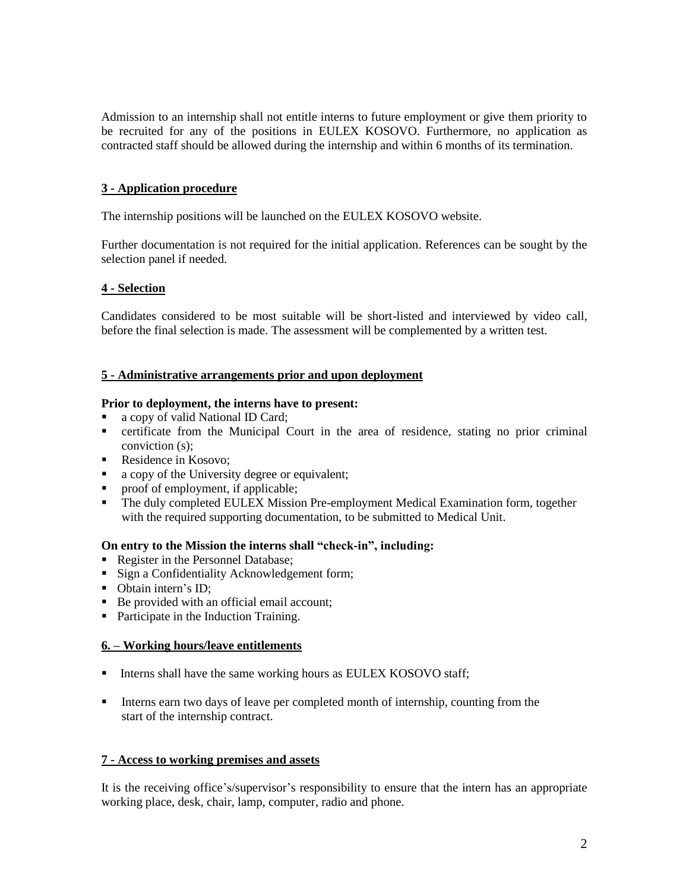Admission to an internship shall not entitle interns to future employment or give them priority to be recruited for any of the positions in EULEX KOSOVO. Furthermore, no application as contracted staff should be allowed during the internship and within 6 months of its termination.

# **3 - Application procedure**

The internship positions will be launched on the EULEX KOSOVO website.

Further documentation is not required for the initial application. References can be sought by the selection panel if needed.

## **4 - Selection**

Candidates considered to be most suitable will be short-listed and interviewed by video call, before the final selection is made. The assessment will be complemented by a written test.

## **5 - Administrative arrangements prior and upon deployment**

### **Prior to deployment, the interns have to present:**

- a copy of valid National ID Card;
- certificate from the Municipal Court in the area of residence, stating no prior criminal conviction (s);
- Residence in Kosovo;
- a copy of the University degree or equivalent;
- proof of employment, if applicable;
- The duly completed EULEX Mission Pre-employment Medical Examination form, together with the required supporting documentation, to be submitted to Medical Unit.

## **On entry to the Mission the interns shall "check-in", including:**

- Register in the Personnel Database;
- Sign a Confidentiality Acknowledgement form;
- Obtain intern's ID:
- Be provided with an official email account;
- Participate in the Induction Training.

### **6. – Working hours/leave entitlements**

- Interns shall have the same working hours as EULEX KOSOVO staff;
- Interns earn two days of leave per completed month of internship, counting from the start of the internship contract.

### **7 - Access to working premises and assets**

It is the receiving office's/supervisor's responsibility to ensure that the intern has an appropriate working place, desk, chair, lamp, computer, radio and phone.